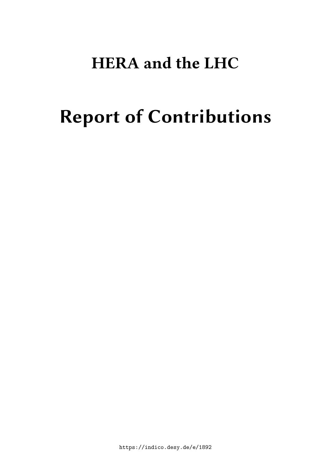# **HERA and the LHC**

# **Report of Contributions**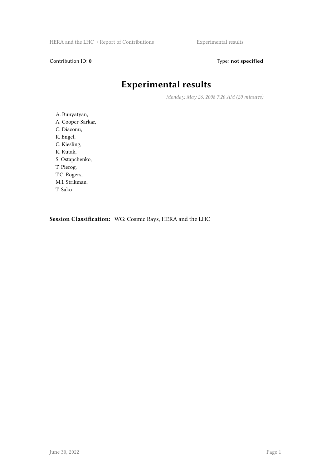#### Contribution ID: 0 Type: not specified

### **Experimental results**

*Monday, May 26, 2008 7:20 AM (20 minutes)*

A. Bunyatyan, A. Cooper-Sarkar, C. Diaconu, R. Engel, C. Kiesling, K. Kutak, S. Ostapchenko, T. Pierog, T.C. Rogers, M.I. Strikman, T. Sako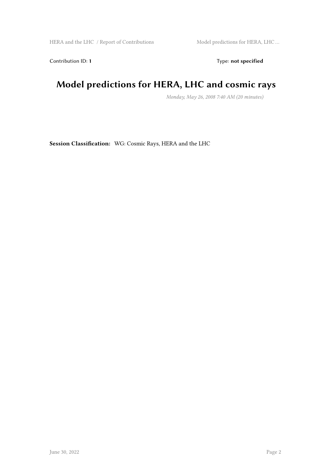HERA and the LHC / Report of Contributions Model predictions for HERA, LHC ...

Contribution ID: 1 Type: **not specified** 

### **Model predictions for HERA, LHC and cosmic rays**

*Monday, May 26, 2008 7:40 AM (20 minutes)*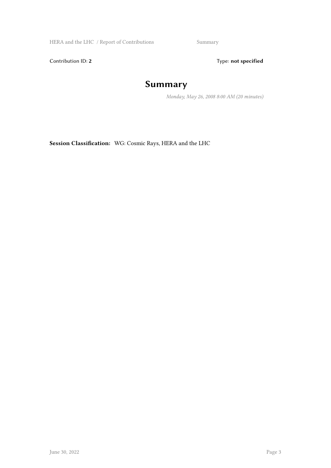HERA and the LHC / Report of Contributions Summary

Contribution ID: 2 Type: **not specified** 

### **Summary**

*Monday, May 26, 2008 8:00 AM (20 minutes)*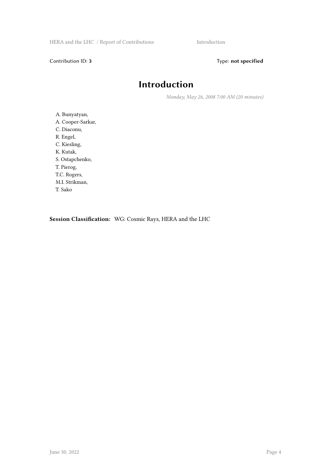Contribution ID: 3 Type: **not specified** 

### **Introduction**

*Monday, May 26, 2008 7:00 AM (20 minutes)*

A. Bunyatyan, A. Cooper-Sarkar, C. Diaconu, R. Engel, C. Kiesling, K. Kutak, S. Ostapchenko, T. Pierog, T.C. Rogers, M.I. Strikman, T. Sako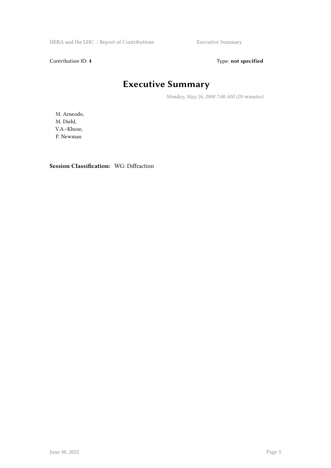HERA and the LHC / Report of Contributions Executive Summary

Contribution ID: 4 Type: **not specified** 

### **Executive Summary**

*Monday, May 26, 2008 7:00 AM (20 minutes)*

M. Arneodo, M. Diehl, V.A.~Khoze, P. Newman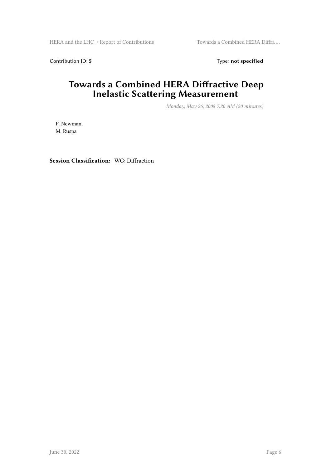HERA and the LHC / Report of Contributions Towards a Combined HERA Diffra...

Contribution ID: 5 Type: **not specified** 

### **Towards a Combined HERA Diffractive Deep Inelastic Scattering Measurement**

*Monday, May 26, 2008 7:20 AM (20 minutes)*

P. Newman, M. Ruspa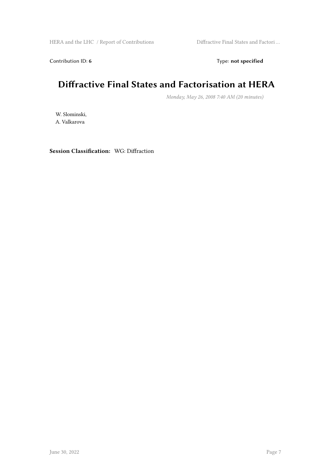Contribution ID: 6 Type: not specified

### **Diffractive Final States and Factorisation at HERA**

*Monday, May 26, 2008 7:40 AM (20 minutes)*

W. Slominski, A. Valkarova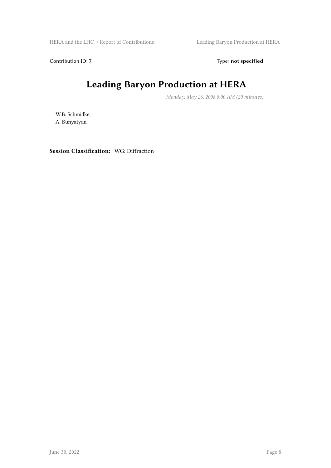HERA and the LHC / Report of Contributions Leading Baryon Production at HERA

Contribution ID: 7 Type: **not specified** 

### **Leading Baryon Production at HERA**

*Monday, May 26, 2008 8:00 AM (20 minutes)*

W.B. Schmidke, A. Bunyatyan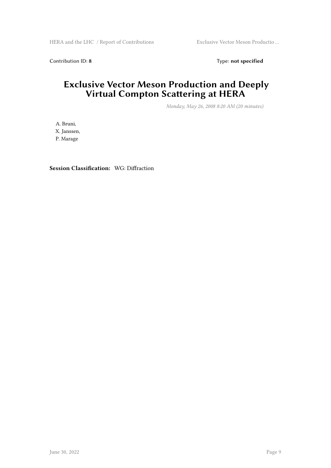Contribution ID: 8 Type: **not specified** 

#### **Exclusive Vector Meson Production and Deeply Virtual Compton Scattering at HERA**

*Monday, May 26, 2008 8:20 AM (20 minutes)*

A. Bruni, X. Janssen, P. Marage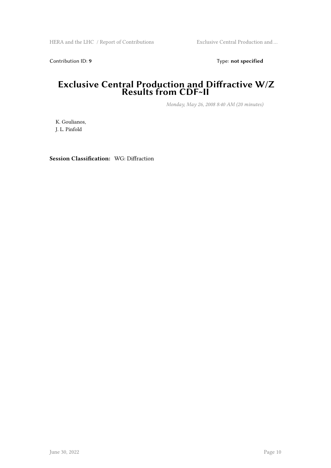Contribution ID: 9 Type: **not specified** 

#### **Exclusive Central Production and Diffractive W/Z Results from CDF~II**

*Monday, May 26, 2008 8:40 AM (20 minutes)*

K. Goulianos, J. L. Pinfold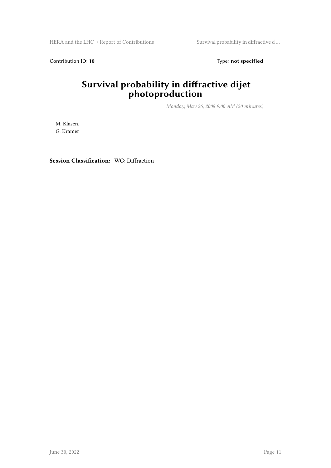HERA and the LHC / Report of Contributions Survival probability in diffractive d...

Contribution ID: 10 **Type:** not specified

### **Survival probability in diffractive dijet photoproduction**

*Monday, May 26, 2008 9:00 AM (20 minutes)*

M. Klasen, G. Kramer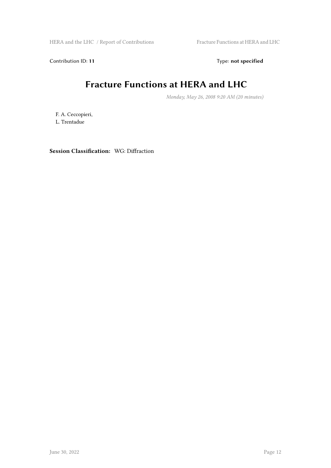HERA and the LHC / Report of Contributions Fracture Functions at HERA and LHC

Contribution ID: 11 Type: **not specified** 

### **Fracture Functions at HERA and LHC**

*Monday, May 26, 2008 9:20 AM (20 minutes)*

F. A. Ceccopieri, L. Trentadue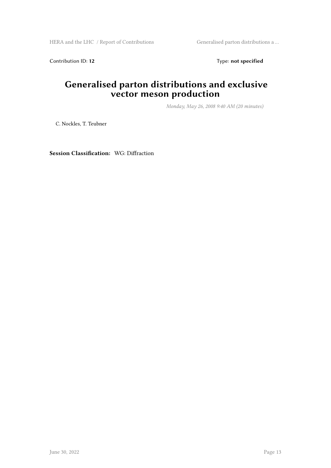HERA and the LHC / Report of Contributions Generalised parton distributions a ...

Contribution ID: 12 Type: **not specified** 

### **Generalised parton distributions and exclusive vector meson production**

*Monday, May 26, 2008 9:40 AM (20 minutes)*

C. Nockles, T. Teubner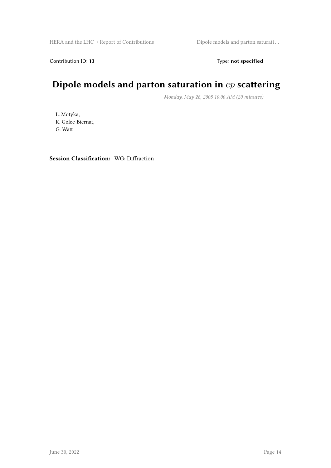Contribution ID: 13 Type: **not specified** 

### **Dipole models and parton saturation in** *ep* **scattering**

*Monday, May 26, 2008 10:00 AM (20 minutes)*

L. Motyka, K. Golec-Biernat, G. Watt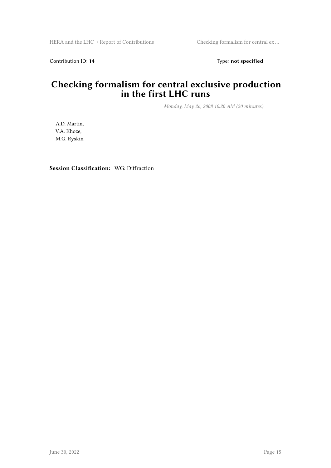Contribution ID: 14 Type: **not specified** 

#### **Checking formalism for central exclusive production in the first LHC runs**

*Monday, May 26, 2008 10:20 AM (20 minutes)*

A.D. Martin, V.A. Khoze, M.G. Ryskin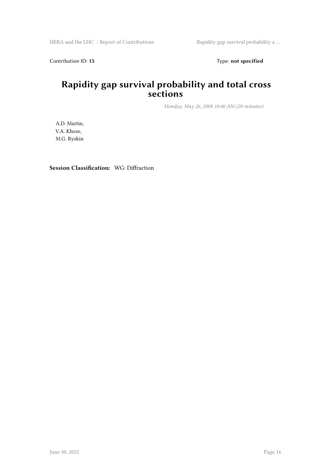Contribution ID: 15 Type: **not specified** 

#### **Rapidity gap survival probability and total cross sections**

*Monday, May 26, 2008 10:40 AM (20 minutes)*

A.D. Martin, V.A. Khoze, M.G. Ryskin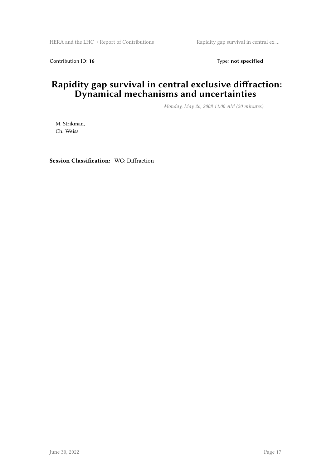Contribution ID: 16 Type: **not specified** 

#### **Rapidity gap survival in central exclusive diffraction: Dynamical mechanisms and uncertainties**

*Monday, May 26, 2008 11:00 AM (20 minutes)*

M. Strikman, Ch. Weiss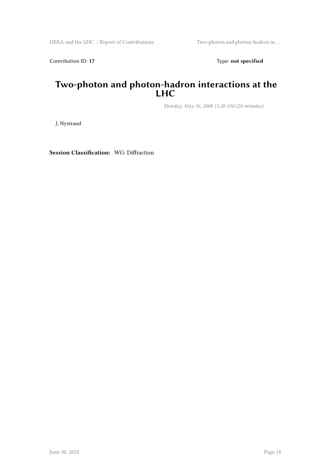Contribution ID: 17 Type: **not specified** 

#### **Two-photon and photon-hadron interactions at the LHC**

*Monday, May 26, 2008 11:20 AM (20 minutes)*

J. Nystrand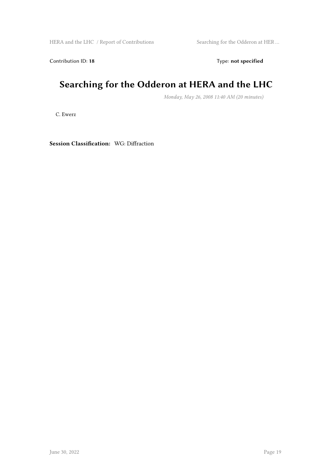HERA and the LHC / Report of Contributions Searching for the Odderon at HER ...

Contribution ID: 18 Type: not specified

### **Searching for the Odderon at HERA and the LHC**

*Monday, May 26, 2008 11:40 AM (20 minutes)*

C. Ewerz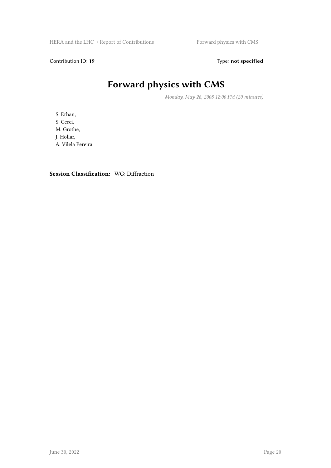HERA and the LHC / Report of Contributions Forward physics with CMS

Contribution ID: 19 Type: **not specified** 

## **Forward physics with CMS**

*Monday, May 26, 2008 12:00 PM (20 minutes)*

S. Erhan, S. Cerci, M. Grothe, J. Hollar, A. Vilela Pereira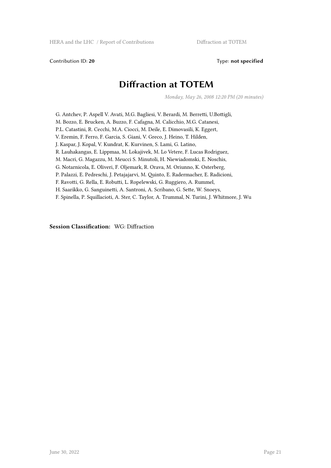Contribution ID: 20 Type: not specified

### **Diffraction at TOTEM**

*Monday, May 26, 2008 12:20 PM (20 minutes)*

G. Antchev, P. Aspell V. Avati, M.G. Bagliesi, V. Berardi, M. Berretti, U.Bottigli, M. Bozzo, E. Brucken, A. Buzzo, F. Cafagna, M. Calicchio, M.G. Catanesi, P.L. Catastini, R. Cecchi, M.A. Ciocci, M. Deile, E. Dimovasili, K. Eggert, V. Eremin, F. Ferro, F. Garcia, S. Giani, V. Greco, J. Heino, T. Hilden, J. Kaspar, J. Kopal, V. Kundrat, K. Kurvinen, S. Lami, G. Latino, R. Lauhakangas, E. Lippmaa, M. Lokajivek, M. Lo Vetere, F. Lucas Rodriguez, M. Macri, G. Magazzu, M. Meucci S. Minutoli, H. Niewiadomski, E. Noschis, G. Notarnicola, E. Oliveri, F. Oljemark, R. Orava, M. Oriunno, K. Osterberg, P. Palazzi, E. Pedreschi, J. Petajajarvi, M. Quinto, E. Radermacher, E. Radicioni, F. Ravotti, G. Rella, E. Robutti, L. Ropelewski, G. Ruggiero, A. Rummel, H. Saarikko, G. Sanguinetti, A. Santroni, A. Scribano, G. Sette, W. Snoeys, F. Spinella, P. Squillacioti, A. Ster, C. Taylor, A. Trummal, N. Turini, J. Whitmore, J. Wu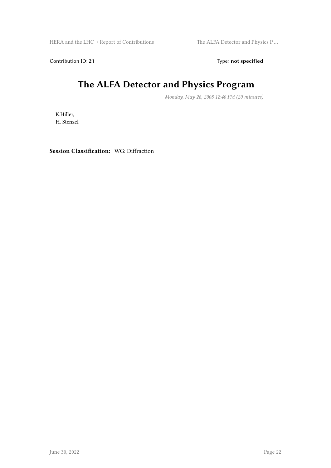HERA and the LHC / Report of Contributions The ALFA Detector and Physics P ...

Contribution ID: 21 Type: **not specified** 

### **The ALFA Detector and Physics Program**

*Monday, May 26, 2008 12:40 PM (20 minutes)*

K.Hiller, H. Stenzel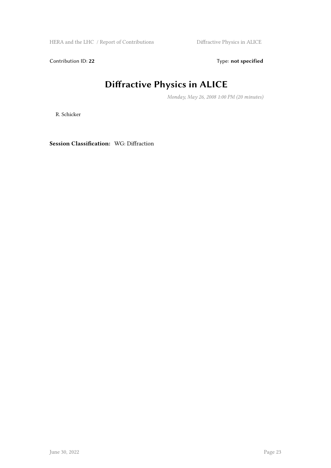HERA and the LHC / Report of Contributions Diffractive Physics in ALICE

Contribution ID: 22 Type: **not specified** 

## **Diffractive Physics in ALICE**

*Monday, May 26, 2008 1:00 PM (20 minutes)*

R. Schicker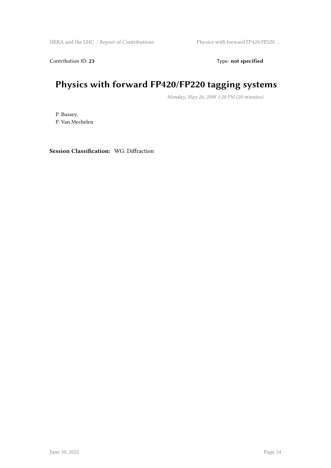Contribution ID: 23 Type: **not specified** 

### **Physics with forward FP420/FP220 tagging systems**

*Monday, May 26, 2008 1:20 PM (20 minutes)*

P. Bussey, P. Van Mechelen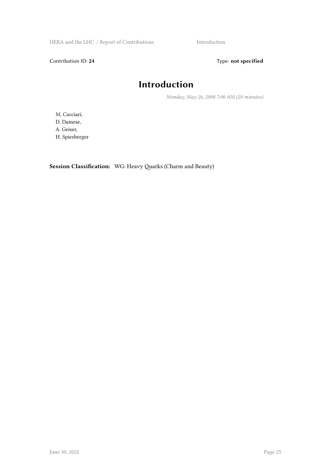HERA and the LHC / Report of Contributions Introduction

Contribution ID: 24 Type: **not specified** 

### **Introduction**

*Monday, May 26, 2008 7:00 AM (20 minutes)*

M. Cacciari, D. Dainese, A. Geiser, H. Spiesberger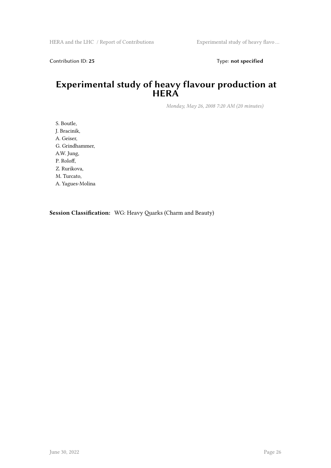Contribution ID: 25 Type: **not specified** 

#### **Experimental study of heavy flavour production at HERA**

*Monday, May 26, 2008 7:20 AM (20 minutes)*

S. Boutle, J. Bracinik, A. Geiser, G. Grindhammer, A.W. Jung, P. Roloff, Z. Rurikova, M. Turcato, A. Yagues-Molina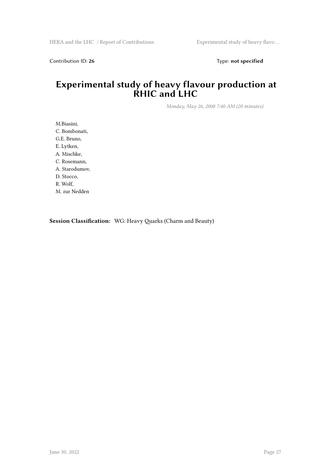Contribution ID: 26 Type: **not specified** 

#### **Experimental study of heavy flavour production at RHIC and LHC**

*Monday, May 26, 2008 7:40 AM (20 minutes)*

M.Biasini, C. Bombonati, G.E. Bruno, E. Lytken, A. Mischke, C. Rosemann, A. Starodumov, D. Stocco, R. Wolf, M. zur Nedden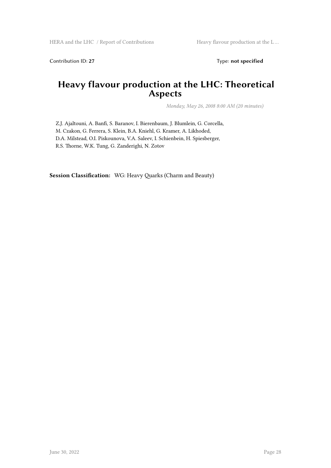Contribution ID: 27 Type: **not specified** 

### **Heavy flavour production at the LHC: Theoretical Aspects**

*Monday, May 26, 2008 8:00 AM (20 minutes)*

Z.J. Ajaltouni, A. Banfi, S. Baranov, I. Bierenbaum, J. Blumlein, G. Corcella, M. Czakon, G. Ferrera, S. Klein, B.A. Kniehl, G. Kramer, A. Likhoded, D.A. Milstead, O.I. Piskounova, V.A. Saleev, I. Schienbein, H. Spiesberger, R.S. Thorne, W.K. Tung, G. Zanderighi, N. Zotov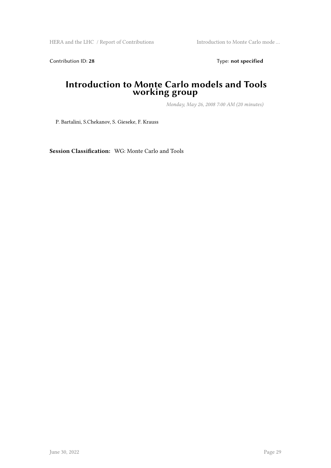HERA and the LHC / Report of Contributions Introduction to Monte Carlo mode ...

Contribution ID: 28 Type: **not specified** 

#### **Introduction to Monte Carlo models and Tools working group**

*Monday, May 26, 2008 7:00 AM (20 minutes)*

P. Bartalini, S.Chekanov, S. Gieseke, F. Krauss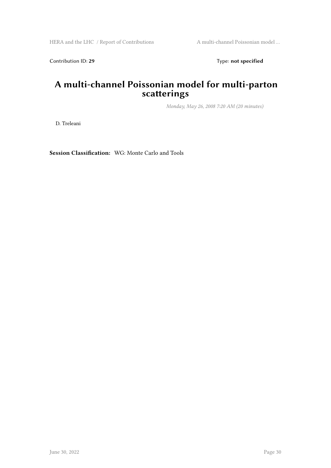Contribution ID: 29 Type: **not specified** 

#### **A multi-channel Poissonian model for multi-parton scatterings**

*Monday, May 26, 2008 7:20 AM (20 minutes)*

D. Treleani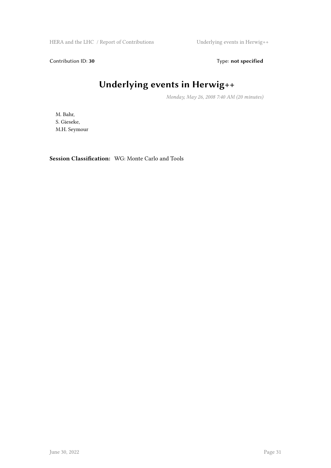HERA and the LHC / Report of Contributions Underlying events in Herwig++

Contribution ID: 30 Type: **not specified** 

## **Underlying events in Herwig++**

*Monday, May 26, 2008 7:40 AM (20 minutes)*

M. Bahr, S. Gieseke, M.H. Seymour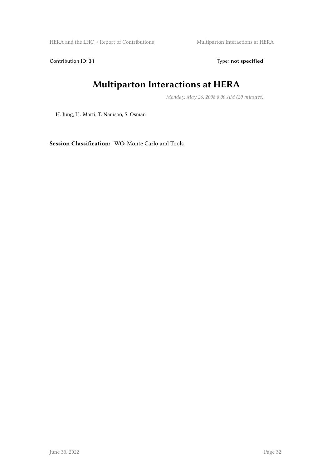HERA and the LHC / Report of Contributions Multiparton Interactions at HERA

Contribution ID: 31 Type: **not specified** 

### **Multiparton Interactions at HERA**

*Monday, May 26, 2008 8:00 AM (20 minutes)*

H. Jung, Ll. Marti, T. Namsoo, S. Osman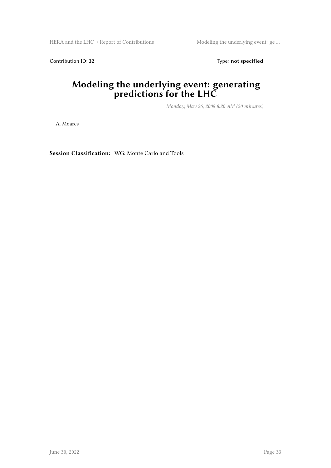HERA and the LHC / Report of Contributions Modeling the underlying event: ge ...

Contribution ID: 32 Type: **not specified** 

#### **Modeling the underlying event: generating predictions for the LHC**

*Monday, May 26, 2008 8:20 AM (20 minutes)*

A. Moares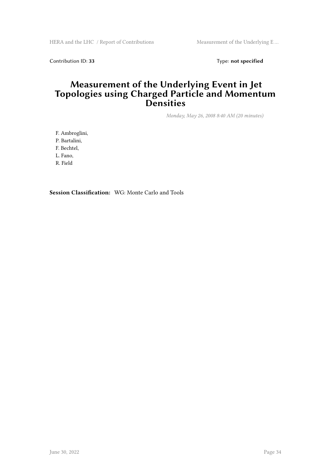Contribution ID: 33 Type: **not specified** 

#### **Measurement of the Underlying Event in Jet Topologies using Charged Particle and Momentum Densities**

*Monday, May 26, 2008 8:40 AM (20 minutes)*

F. Ambroglini,

P. Bartalini,

F. Bechtel,

L. Fano,

R. Field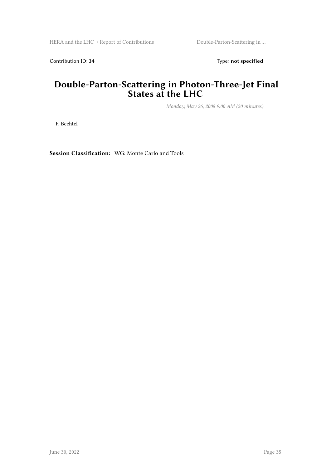Contribution ID: 34 Type: **not specified** 

#### **Double-Parton-Scattering in Photon-Three-Jet Final States at the LHC**

*Monday, May 26, 2008 9:00 AM (20 minutes)*

F. Bechtel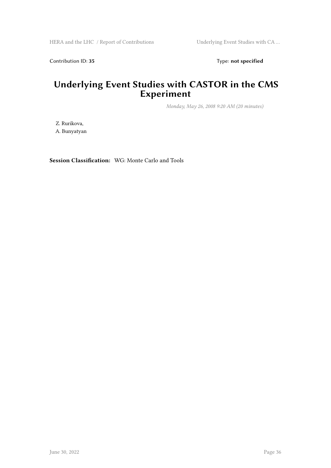Contribution ID: 35 Type: **not specified** 

#### **Underlying Event Studies with CASTOR in the CMS Experiment**

*Monday, May 26, 2008 9:20 AM (20 minutes)*

Z. Rurikova, A. Bunyatyan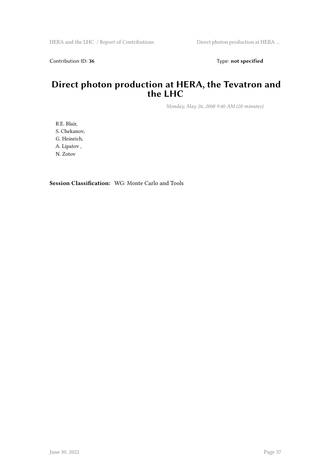Contribution ID: 36 Type: **not specified** 

#### **Direct photon production at HERA, the Tevatron and the LHC**

*Monday, May 26, 2008 9:40 AM (20 minutes)*

R.E. Blair, S. Chekanov, G. Heinrich, A. Lipatov , N. Zotov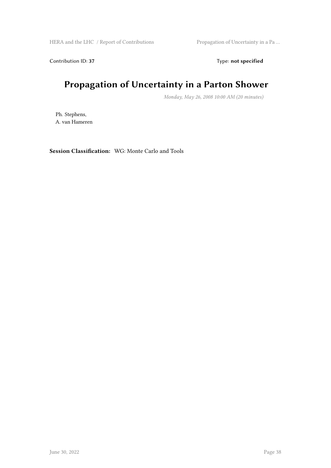HERA and the LHC / Report of Contributions Propagation of Uncertainty in a Pa ...

Contribution ID: 37 Type: **not specified** 

### **Propagation of Uncertainty in a Parton Shower**

*Monday, May 26, 2008 10:00 AM (20 minutes)*

Ph. Stephens, A. van Hameren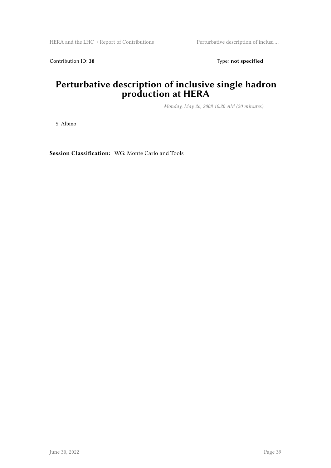Contribution ID: 38 Type: **not specified** 

#### **Perturbative description of inclusive single hadron production at HERA**

*Monday, May 26, 2008 10:20 AM (20 minutes)*

S. Albino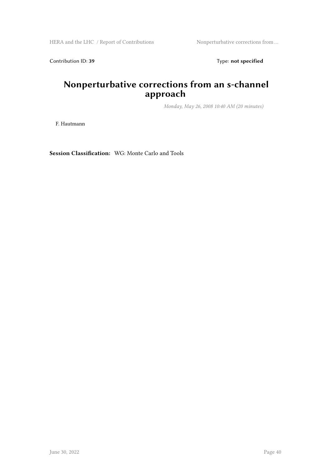HERA and the LHC / Report of Contributions Nonperturbative corrections from ...

Contribution ID: 39 Type: **not specified** 

### **Nonperturbative corrections from an s-channel approach**

*Monday, May 26, 2008 10:40 AM (20 minutes)*

F. Hautmann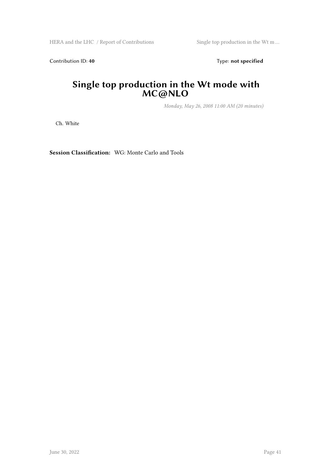HERA and the LHC / Report of Contributions Single top production in the Wt m ...

Contribution ID: 40 **Type:** not specified

#### **Single top production in the Wt mode with MC@NLO**

*Monday, May 26, 2008 11:00 AM (20 minutes)*

Ch. White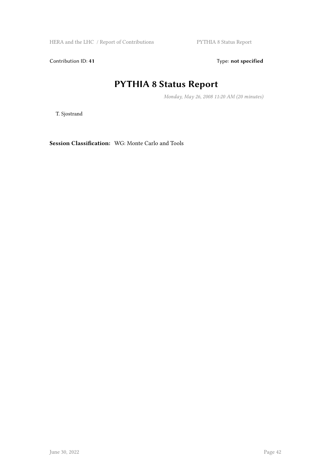HERA and the LHC / Report of Contributions PYTHIA 8 Status Report

Contribution ID: 41 Type: **not specified** 

### **PYTHIA 8 Status Report**

*Monday, May 26, 2008 11:20 AM (20 minutes)*

T. Sjostrand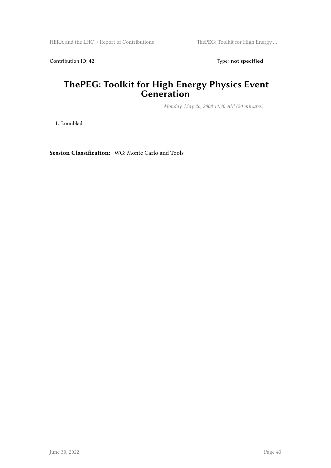Contribution ID: 42 Type: **not specified** 

#### **ThePEG: Toolkit for High Energy Physics Event Generation**

*Monday, May 26, 2008 11:40 AM (20 minutes)*

L. Lonnblad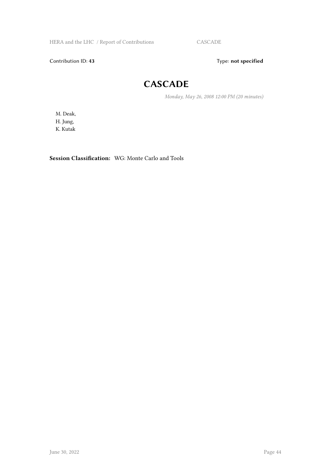HERA and the LHC / Report of Contributions CASCADE

Contribution ID: 43 Type: **not specified** 

### **CASCADE**

*Monday, May 26, 2008 12:00 PM (20 minutes)*

M. Deak, H. Jung, K. Kutak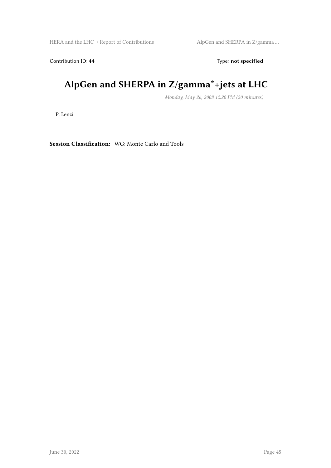HERA and the LHC / Report of Contributions AlpGen and SHERPA in Z/gamma ...

Contribution ID: 44 Type: **not specified** 

## **AlpGen and SHERPA in Z/gamma\*+jets at LHC**

*Monday, May 26, 2008 12:20 PM (20 minutes)*

P. Lenzi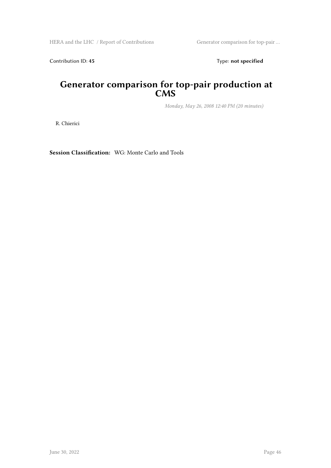Contribution ID: 45 Type: **not specified** 

#### **Generator comparison for top-pair production at CMS**

*Monday, May 26, 2008 12:40 PM (20 minutes)*

R. Chierici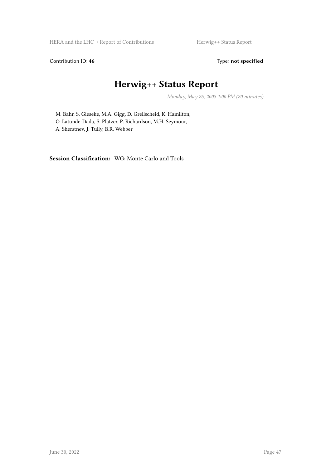HERA and the LHC / Report of Contributions Herwig++ Status Report

Contribution ID: 46 Type: not specified

### **Herwig++ Status Report**

*Monday, May 26, 2008 1:00 PM (20 minutes)*

M. Bahr, S. Gieseke, M.A. Gigg, D. Grellscheid, K. Hamilton, O. Latunde-Dada, S. Platzer, P. Richardson, M.H. Seymour, A. Sherstnev, J. Tully, B.R. Webber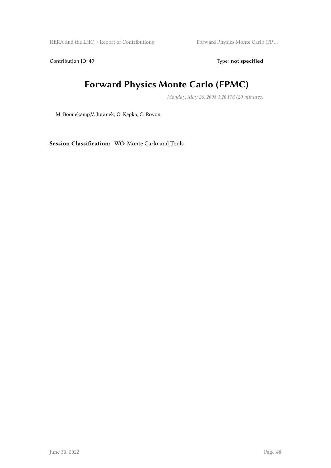HERA and the LHC / Report of Contributions Forward Physics Monte Carlo (FP ...

Contribution ID: 47 Type: **not specified** 

### **Forward Physics Monte Carlo (FPMC)**

*Monday, May 26, 2008 1:20 PM (20 minutes)*

M. Boonekamp,V. Juranek, O. Kepka, C. Royon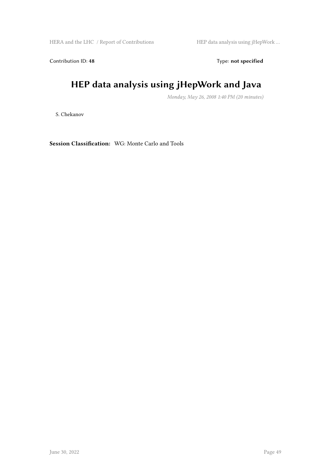HERA and the LHC / Report of Contributions HEP data analysis using jHepWork …

Contribution ID: 48 Type: **not specified** 

## **HEP data analysis using jHepWork and Java**

*Monday, May 26, 2008 1:40 PM (20 minutes)*

S. Chekanov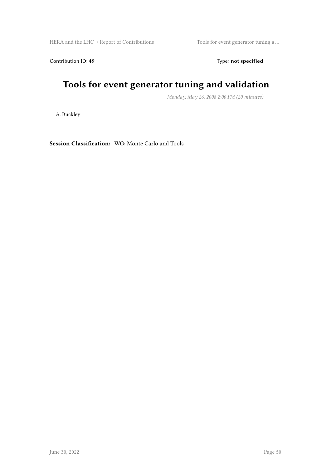HERA and the LHC / Report of Contributions Tools for event generator tuning a ...

Contribution ID: 49 Type: **not specified** 

### **Tools for event generator tuning and validation**

*Monday, May 26, 2008 2:00 PM (20 minutes)*

A. Buckley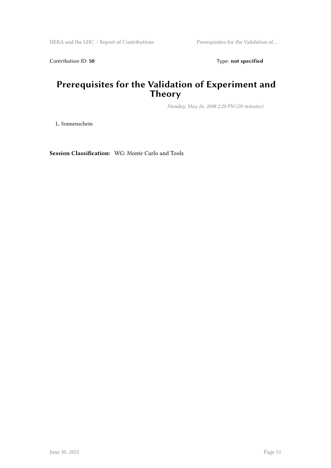Contribution ID: 50 Type: not specified

### **Prerequisites for the Validation of Experiment and Theory**

*Monday, May 26, 2008 2:20 PM (20 minutes)*

L. Sonnenschein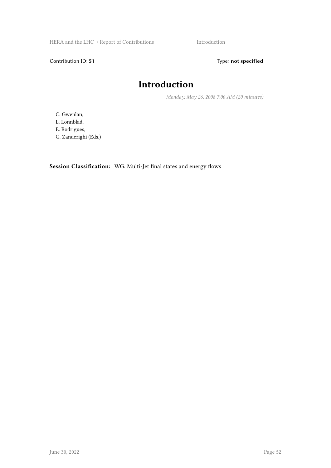HERA and the LHC / Report of Contributions Introduction

Contribution ID: 51 Type: **not specified** 

### **Introduction**

*Monday, May 26, 2008 7:00 AM (20 minutes)*

C. Gwenlan,

L. Lonnblad,

E. Rodrigues,

G. Zanderighi (Eds.)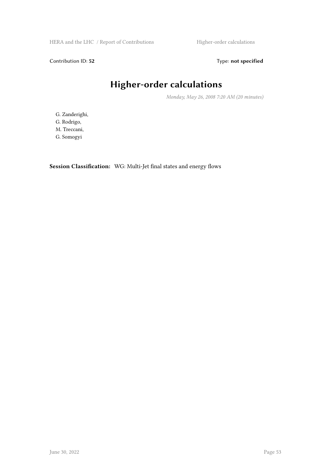HERA and the LHC / Report of Contributions Higher-order calculations

Contribution ID: 52 Type: **not specified** 

## **Higher-order calculations**

*Monday, May 26, 2008 7:20 AM (20 minutes)*

G. Zanderighi, G. Rodrigo, M. Treccani, G. Somogyi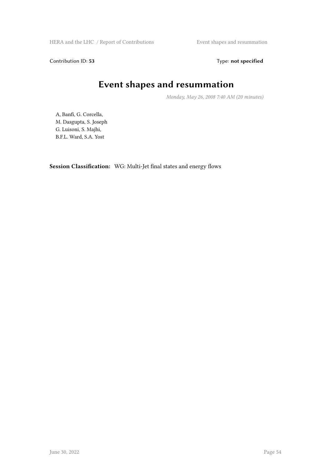HERA and the LHC / Report of Contributions **Event shapes and resummation** 

Contribution ID: 53 Type: **not specified** 

### **Event shapes and resummation**

*Monday, May 26, 2008 7:40 AM (20 minutes)*

A, Banfi, G. Corcella, M. Dasgupta, S. Joseph G. Luisoni, S. Majhi, B.F.L. Ward, S.A. Yost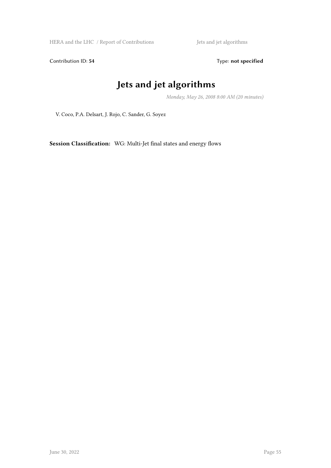HERA and the LHC / Report of Contributions Jets and jet algorithms

Contribution ID: 54 Type: **not specified** 

### **Jets and jet algorithms**

*Monday, May 26, 2008 8:00 AM (20 minutes)*

V. Coco, P.A. Delsart, J. Rojo, C. Sander, G. Soyez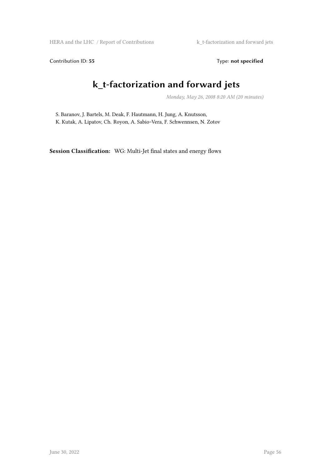Contribution ID: 55 Type: **not specified** 

### **k\_t-factorization and forward jets**

*Monday, May 26, 2008 8:20 AM (20 minutes)*

S. Baranov, J. Bartels, M. Deak, F. Hautmann, H. Jung, A. Knutsson, K. Kutak, A. Lipatov, Ch. Royon, A. Sabio~Vera, F. Schwennsen, N. Zotov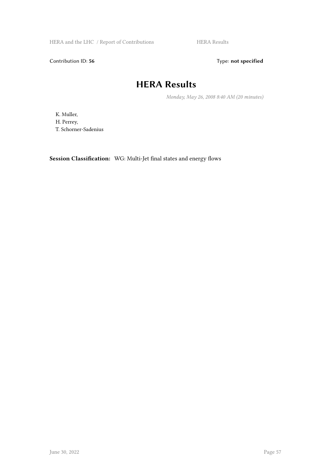HERA and the LHC / Report of Contributions HERA Results

Contribution ID: 56 Type: **not specified** 

### **HERA Results**

*Monday, May 26, 2008 8:40 AM (20 minutes)*

K. Muller, H. Perrey, T. Schorner-Sadenius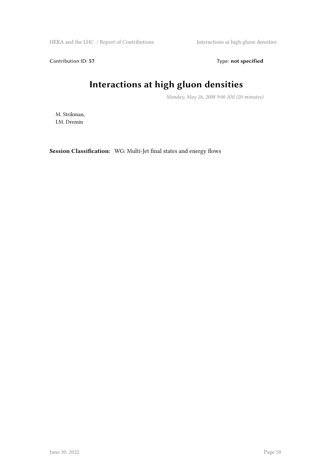HERA and the LHC / Report of Contributions Interactions at high gluon densities

Contribution ID: 57 Type: **not specified** 

## **Interactions at high gluon densities**

*Monday, May 26, 2008 9:00 AM (20 minutes)*

M. Strikman, I.M. Dremin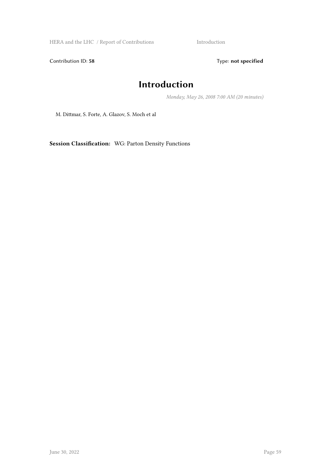HERA and the LHC / Report of Contributions Introduction

Contribution ID: 58 Type: **not specified** 

### **Introduction**

*Monday, May 26, 2008 7:00 AM (20 minutes)*

M. Dittmar, S. Forte, A. Glazov, S. Moch et al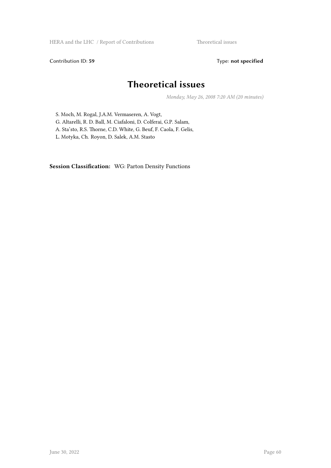HERA and the LHC / Report of Contributions Theoretical issues

Contribution ID: 59 Type: **not specified** 

### **Theoretical issues**

*Monday, May 26, 2008 7:20 AM (20 minutes)*

S. Moch, M. Rogal, J.A.M. Vermaseren, A. Vogt, G. Altarelli, R. D. Ball, M. Ciafaloni, D. Colferai, G.P. Salam, A. Sta'sto, R.S. Thorne, C.D. White, G. Beuf, F. Caola, F. Gelis,

L. Motyka, Ch. Royon, D. Salek, A.M. Stasto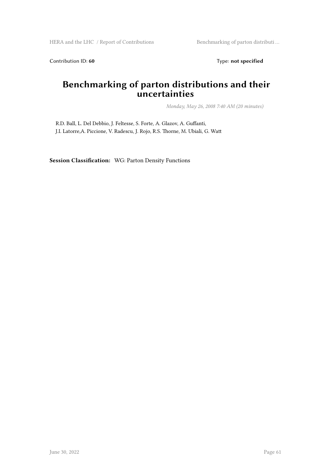HERA and the LHC / Report of Contributions Benchmarking of parton distributi ...

Contribution ID: 60 Type: not specified

#### **Benchmarking of parton distributions and their uncertainties**

*Monday, May 26, 2008 7:40 AM (20 minutes)*

R.D. Ball, L. Del Debbio, J. Feltesse, S. Forte, A. Glazov, A. Guffanti, J.I. Latorre,A. Piccione, V. Radescu, J. Rojo, R.S. Thorne, M. Ubiali, G. Watt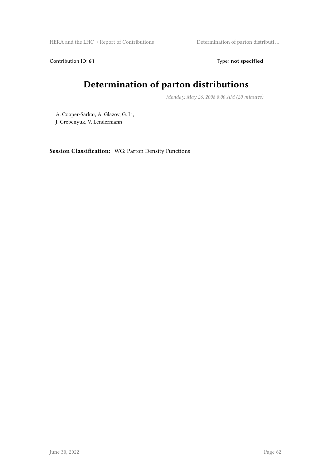HERA and the LHC / Report of Contributions Determination of parton distributi ...

Contribution ID: 61 Type: **not specified** 

## **Determination of parton distributions**

*Monday, May 26, 2008 8:00 AM (20 minutes)*

A. Cooper-Sarkar, A. Glazov, G. Li, J. Grebenyuk, V. Lendermann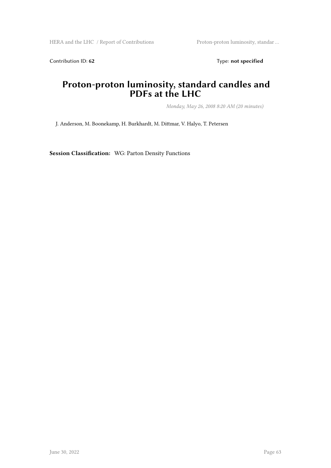HERA and the LHC / Report of Contributions Proton-proton luminosity, standar ...

Contribution ID: 62 Type: **not specified** 

#### **Proton-proton luminosity, standard candles and PDFs at the LHC**

*Monday, May 26, 2008 8:20 AM (20 minutes)*

J. Anderson, M. Boonekamp, H. Burkhardt, M. Dittmar, V. Halyo, T. Petersen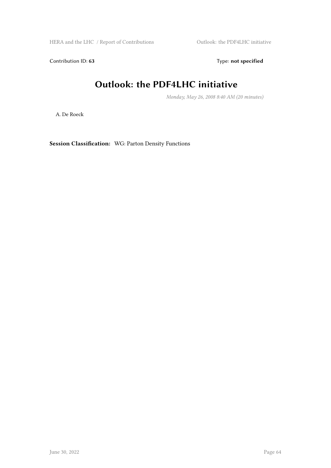HERA and the LHC / Report of Contributions  $\hfill$  Outlook: the PDF4LHC initiative

Contribution ID: 63 Type: **not specified** 

### **Outlook: the PDF4LHC initiative**

*Monday, May 26, 2008 8:40 AM (20 minutes)*

A. De Roeck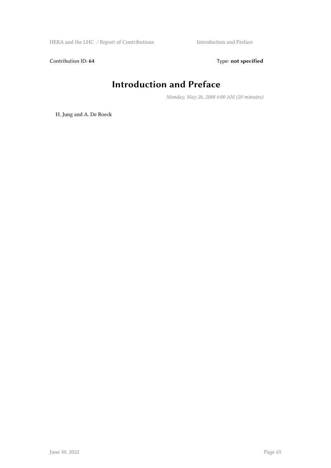Contribution ID: 64 Type: **not specified** 

### **Introduction and Preface**

*Monday, May 26, 2008 6:00 AM (20 minutes)*

H. Jung and A. De Roeck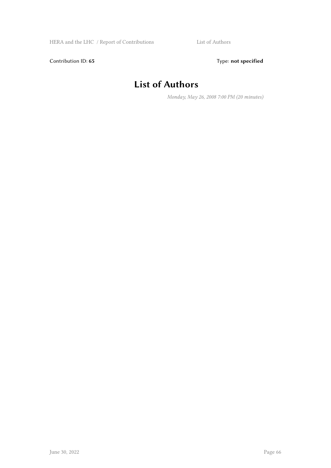Contribution ID: 65 Type: **not specified** 

### **List of Authors**

*Monday, May 26, 2008 7:00 PM (20 minutes)*